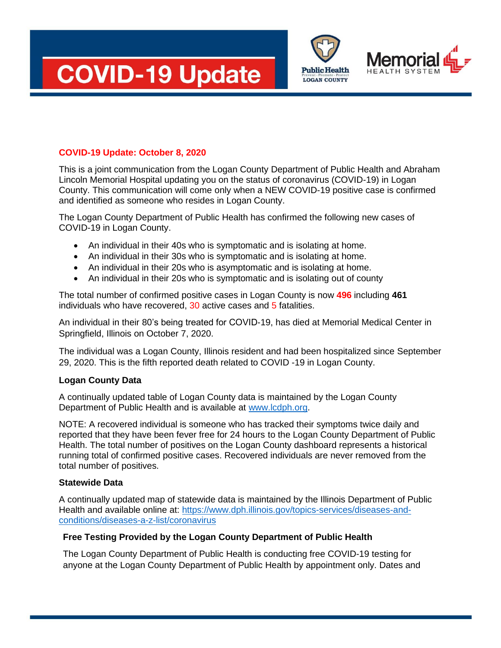





## **COVID-19 Update: October 8, 2020**

This is a joint communication from the Logan County Department of Public Health and Abraham Lincoln Memorial Hospital updating you on the status of coronavirus (COVID-19) in Logan County. This communication will come only when a NEW COVID-19 positive case is confirmed and identified as someone who resides in Logan County.

The Logan County Department of Public Health has confirmed the following new cases of COVID-19 in Logan County.

- An individual in their 40s who is symptomatic and is isolating at home.
- An individual in their 30s who is symptomatic and is isolating at home.
- An individual in their 20s who is asymptomatic and is isolating at home.
- An individual in their 20s who is symptomatic and is isolating out of county

The total number of confirmed positive cases in Logan County is now **496** including **461** individuals who have recovered, 30 active cases and 5 fatalities.

An individual in their 80's being treated for COVID-19, has died at Memorial Medical Center in Springfield, Illinois on October 7, 2020.

The individual was a Logan County, Illinois resident and had been hospitalized since September 29, 2020. This is the fifth reported death related to COVID -19 in Logan County.

## **Logan County Data**

A continually updated table of Logan County data is maintained by the Logan County Department of Public Health and is available at [www.lcdph.org.](http://www.lcdph.org/)

NOTE: A recovered individual is someone who has tracked their symptoms twice daily and reported that they have been fever free for 24 hours to the Logan County Department of Public Health. The total number of positives on the Logan County dashboard represents a historical running total of confirmed positive cases. Recovered individuals are never removed from the total number of positives.

## **Statewide Data**

A continually updated map of statewide data is maintained by the Illinois Department of Public Health and available online at: [https://www.dph.illinois.gov/topics-services/diseases-and](https://www.dph.illinois.gov/topics-services/diseases-and-conditions/diseases-a-z-list/coronavirus)[conditions/diseases-a-z-list/coronavirus](https://www.dph.illinois.gov/topics-services/diseases-and-conditions/diseases-a-z-list/coronavirus)

## **Free Testing Provided by the Logan County Department of Public Health**

The Logan County Department of Public Health is conducting free COVID-19 testing for anyone at the Logan County Department of Public Health by appointment only. Dates and